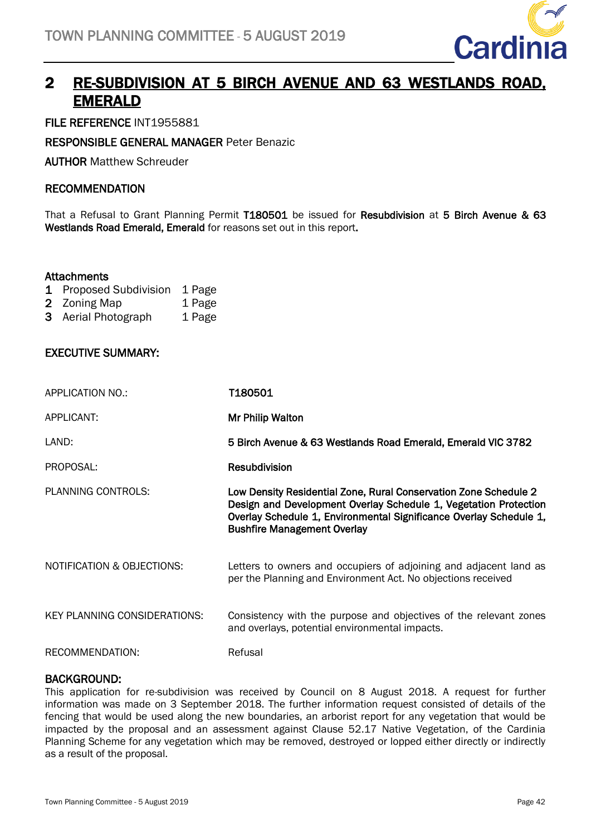

# 2 RE-SUBDIVISION AT 5 BIRCH AVENUE AND 63 WESTLANDS ROAD, EMERALD

FILE REFERENCE INT1955881

RESPONSIBLE GENERAL MANAGER Peter Benazic

AUTHOR Matthew Schreuder

## RECOMMENDATION

That a Refusal to Grant Planning Permit T180501 be issued for Resubdivision at 5 Birch Avenue & 63 Westlands Road Emerald, Emerald for reasons set out in this report.

## **Attachments**

- 1 Proposed Subdivision 1 Page
- 2 Zoning Map 1 Page
- 3 Aerial Photograph 1 Page

## EXECUTIVE SUMMARY:

| APPLICATION NO.:                      | <b>T180501</b>                                                                                                                                                                                                                                   |
|---------------------------------------|--------------------------------------------------------------------------------------------------------------------------------------------------------------------------------------------------------------------------------------------------|
| APPLICANT:                            | Mr Philip Walton                                                                                                                                                                                                                                 |
| LAND:                                 | 5 Birch Avenue & 63 Westlands Road Emerald, Emerald VIC 3782                                                                                                                                                                                     |
| PROPOSAL:                             | <b>Resubdivision</b>                                                                                                                                                                                                                             |
| PLANNING CONTROLS:                    | Low Density Residential Zone, Rural Conservation Zone Schedule 2<br>Design and Development Overlay Schedule 1, Vegetation Protection<br>Overlay Schedule 1, Environmental Significance Overlay Schedule 1,<br><b>Bushfire Management Overlay</b> |
| <b>NOTIFICATION &amp; OBJECTIONS:</b> | Letters to owners and occupiers of adjoining and adjacent land as<br>per the Planning and Environment Act. No objections received                                                                                                                |
| KEY PLANNING CONSIDERATIONS:          | Consistency with the purpose and objectives of the relevant zones<br>and overlays, potential environmental impacts.                                                                                                                              |
| RECOMMENDATION:                       | Refusal                                                                                                                                                                                                                                          |

#### BACKGROUND:

This application for re-subdivision was received by Council on 8 August 2018. A request for further information was made on 3 September 2018. The further information request consisted of details of the fencing that would be used along the new boundaries, an arborist report for any vegetation that would be impacted by the proposal and an assessment against Clause 52.17 Native Vegetation, of the Cardinia Planning Scheme for any vegetation which may be removed, destroyed or lopped either directly or indirectly as a result of the proposal.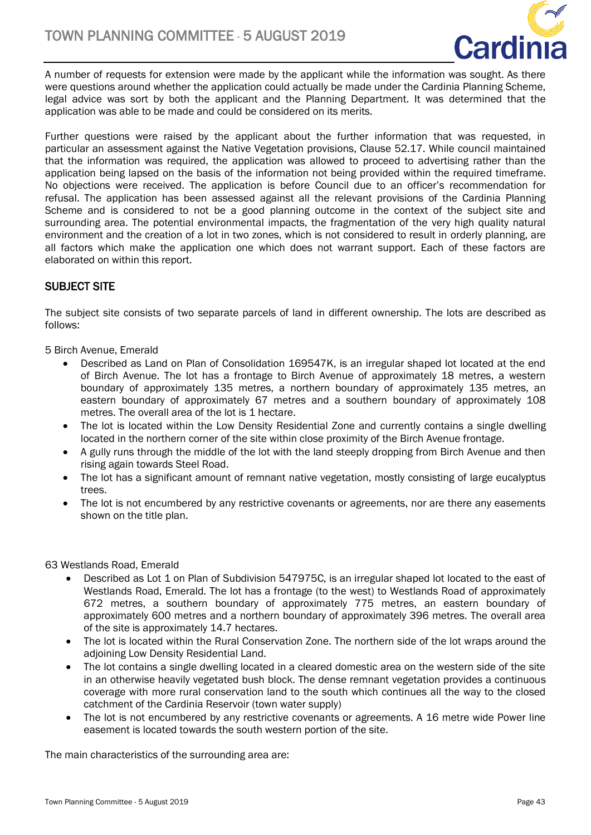

A number of requests for extension were made by the applicant while the information was sought. As there were questions around whether the application could actually be made under the Cardinia Planning Scheme, legal advice was sort by both the applicant and the Planning Department. It was determined that the application was able to be made and could be considered on its merits.

Further questions were raised by the applicant about the further information that was requested, in particular an assessment against the Native Vegetation provisions, Clause 52.17. While council maintained that the information was required, the application was allowed to proceed to advertising rather than the application being lapsed on the basis of the information not being provided within the required timeframe. No objections were received. The application is before Council due to an officer's recommendation for refusal. The application has been assessed against all the relevant provisions of the Cardinia Planning Scheme and is considered to not be a good planning outcome in the context of the subject site and surrounding area. The potential environmental impacts, the fragmentation of the very high quality natural environment and the creation of a lot in two zones, which is not considered to result in orderly planning, are all factors which make the application one which does not warrant support. Each of these factors are elaborated on within this report.

# SUBJECT SITE

The subject site consists of two separate parcels of land in different ownership. The lots are described as follows:

5 Birch Avenue, Emerald

- Described as Land on Plan of Consolidation 169547K, is an irregular shaped lot located at the end of Birch Avenue. The lot has a frontage to Birch Avenue of approximately 18 metres, a western boundary of approximately 135 metres, a northern boundary of approximately 135 metres, an eastern boundary of approximately 67 metres and a southern boundary of approximately 108 metres. The overall area of the lot is 1 hectare.
- The lot is located within the Low Density Residential Zone and currently contains a single dwelling located in the northern corner of the site within close proximity of the Birch Avenue frontage.
- A gully runs through the middle of the lot with the land steeply dropping from Birch Avenue and then rising again towards Steel Road.
- The lot has a significant amount of remnant native vegetation, mostly consisting of large eucalyptus trees.
- The lot is not encumbered by any restrictive covenants or agreements, nor are there any easements shown on the title plan.

63 Westlands Road, Emerald

- Described as Lot 1 on Plan of Subdivision 547975C, is an irregular shaped lot located to the east of Westlands Road, Emerald. The lot has a frontage (to the west) to Westlands Road of approximately 672 metres, a southern boundary of approximately 775 metres, an eastern boundary of approximately 600 metres and a northern boundary of approximately 396 metres. The overall area of the site is approximately 14.7 hectares.
- The lot is located within the Rural Conservation Zone. The northern side of the lot wraps around the adjoining Low Density Residential Land.
- The lot contains a single dwelling located in a cleared domestic area on the western side of the site in an otherwise heavily vegetated bush block. The dense remnant vegetation provides a continuous coverage with more rural conservation land to the south which continues all the way to the closed catchment of the Cardinia Reservoir (town water supply)
- The lot is not encumbered by any restrictive covenants or agreements. A 16 metre wide Power line easement is located towards the south western portion of the site.

The main characteristics of the surrounding area are: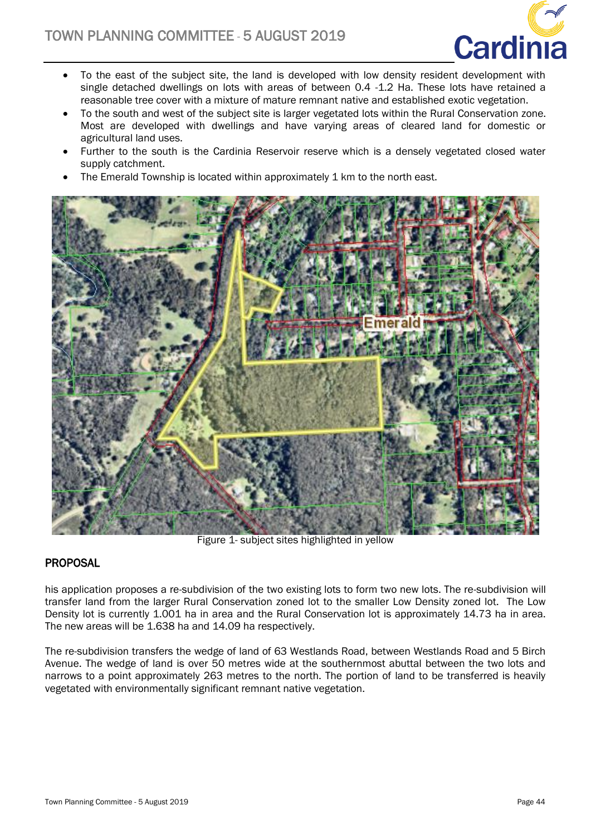

- To the east of the subject site, the land is developed with low density resident development with single detached dwellings on lots with areas of between 0.4 -1.2 Ha. These lots have retained a reasonable tree cover with a mixture of mature remnant native and established exotic vegetation.
- To the south and west of the subject site is larger vegetated lots within the Rural Conservation zone. Most are developed with dwellings and have varying areas of cleared land for domestic or agricultural land uses.
- Further to the south is the Cardinia Reservoir reserve which is a densely vegetated closed water supply catchment.
- The Emerald Township is located within approximately 1 km to the north east.



Figure 1- subject sites highlighted in yellow

# **PROPOSAL**

his application proposes a re-subdivision of the two existing lots to form two new lots. The re-subdivision will transfer land from the larger Rural Conservation zoned lot to the smaller Low Density zoned lot. The Low Density lot is currently 1.001 ha in area and the Rural Conservation lot is approximately 14.73 ha in area. The new areas will be 1.638 ha and 14.09 ha respectively.

The re-subdivision transfers the wedge of land of 63 Westlands Road, between Westlands Road and 5 Birch Avenue. The wedge of land is over 50 metres wide at the southernmost abuttal between the two lots and narrows to a point approximately 263 metres to the north. The portion of land to be transferred is heavily vegetated with environmentally significant remnant native vegetation.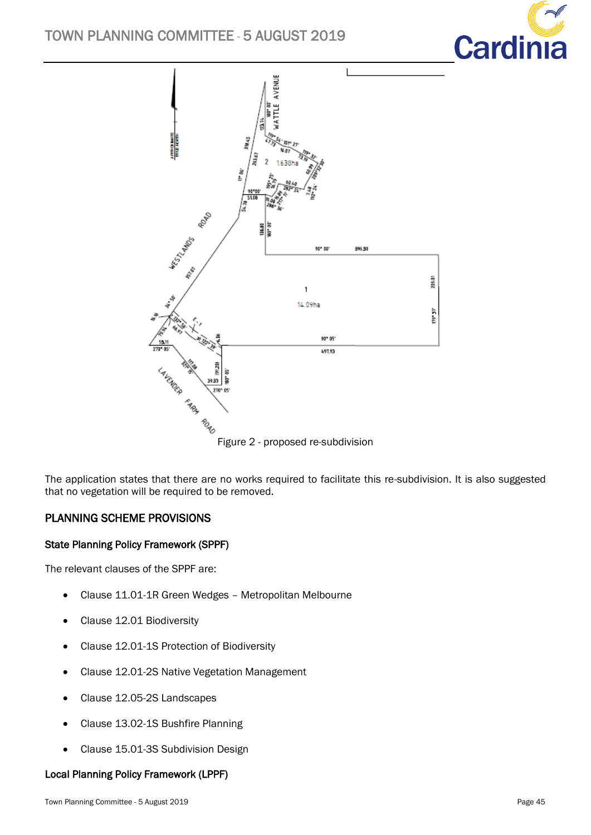# TOWN PLANNING COMMITTEE - 5 AUGUST 2019





Figure 2 - proposed re-subdivision

The application states that there are no works required to facilitate this re-subdivision. It is also suggested that no vegetation will be required to be removed.

# PLANNING SCHEME PROVISIONS

## State Planning Policy Framework (SPPF)

The relevant clauses of the SPPF are:

- Clause 11.01-1R Green Wedges Metropolitan Melbourne
- Clause 12.01 Biodiversity
- Clause 12.01-1S Protection of Biodiversity
- Clause 12.01-2S Native Vegetation Management
- Clause 12.05-2S Landscapes
- Clause 13.02-1S Bushfire Planning
- Clause 15.01-3S Subdivision Design

#### Local Planning Policy Framework (LPPF)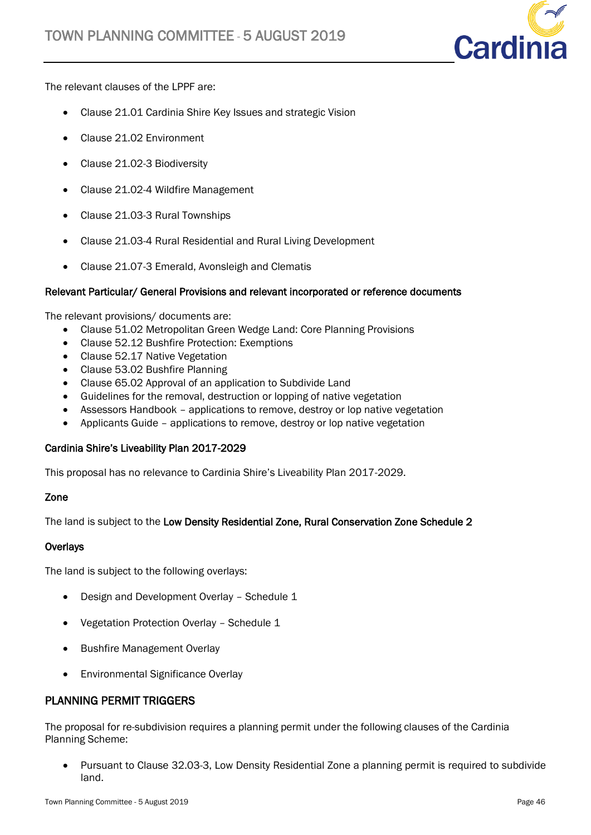

The relevant clauses of the LPPF are:

- Clause 21.01 Cardinia Shire Key Issues and strategic Vision
- Clause 21.02 Environment
- Clause 21.02-3 Biodiversity
- Clause 21.02-4 Wildfire Management
- Clause 21.03-3 Rural Townships
- Clause 21.03-4 Rural Residential and Rural Living Development
- Clause 21.07-3 Emerald, Avonsleigh and Clematis

## Relevant Particular/ General Provisions and relevant incorporated or reference documents

The relevant provisions/ documents are:

- Clause 51.02 Metropolitan Green Wedge Land: Core Planning Provisions
- Clause 52.12 Bushfire Protection: Exemptions
- Clause 52.17 Native Vegetation
- Clause 53.02 Bushfire Planning
- Clause 65.02 Approval of an application to Subdivide Land
- Guidelines for the removal, destruction or lopping of native vegetation
- Assessors Handbook applications to remove, destroy or lop native vegetation
- Applicants Guide applications to remove, destroy or lop native vegetation

## Cardinia Shire's Liveability Plan 2017-2029

This proposal has no relevance to Cardinia Shire's Liveability Plan 2017-2029.

## Zone

The land is subject to the Low Density Residential Zone, Rural Conservation Zone Schedule 2

#### **Overlays**

The land is subject to the following overlays:

- Design and Development Overlay Schedule 1
- Vegetation Protection Overlay Schedule 1
- Bushfire Management Overlay
- Environmental Significance Overlay

# PLANNING PERMIT TRIGGERS

The proposal for re-subdivision requires a planning permit under the following clauses of the Cardinia Planning Scheme:

 Pursuant to Clause 32.03-3, Low Density Residential Zone a planning permit is required to subdivide land.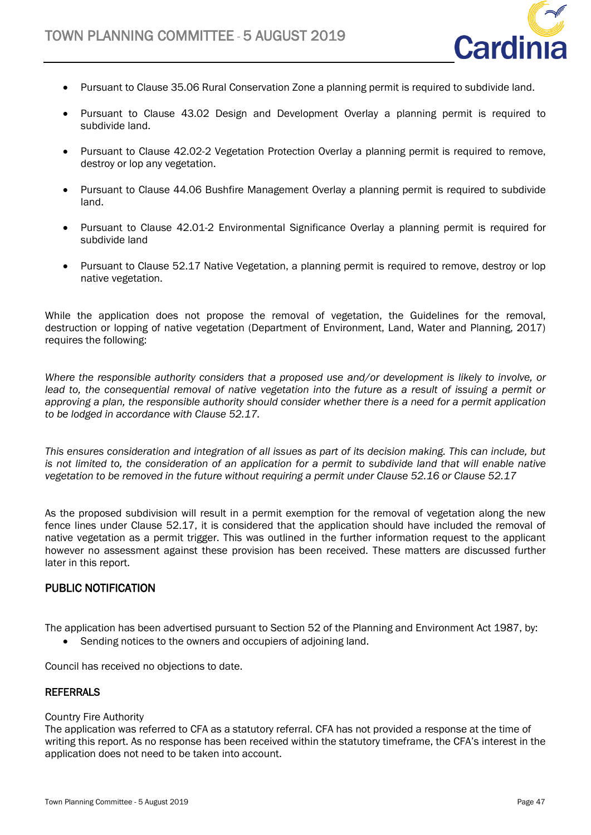

- Pursuant to Clause 35.06 Rural Conservation Zone a planning permit is required to subdivide land.
- Pursuant to Clause 43.02 Design and Development Overlay a planning permit is required to subdivide land.
- Pursuant to Clause 42.02-2 Vegetation Protection Overlay a planning permit is required to remove, destroy or lop any vegetation.
- Pursuant to Clause 44.06 Bushfire Management Overlay a planning permit is required to subdivide land.
- Pursuant to Clause 42.01-2 Environmental Significance Overlay a planning permit is required for subdivide land
- Pursuant to Clause 52.17 Native Vegetation, a planning permit is required to remove, destroy or lop native vegetation.

While the application does not propose the removal of vegetation, the Guidelines for the removal, destruction or lopping of native vegetation (Department of Environment, Land, Water and Planning, 2017) requires the following:

*Where the responsible authority considers that a proposed use and/or development is likely to involve, or lead to, the consequential removal of native vegetation into the future as a result of issuing a permit or approving a plan, the responsible authority should consider whether there is a need for a permit application to be lodged in accordance with Clause 52.17.*

*This ensures consideration and integration of all issues as part of its decision making. This can include, but is not limited to, the consideration of an application for a permit to subdivide land that will enable native vegetation to be removed in the future without requiring a permit under Clause 52.16 or Clause 52.17*

As the proposed subdivision will result in a permit exemption for the removal of vegetation along the new fence lines under Clause 52.17, it is considered that the application should have included the removal of native vegetation as a permit trigger. This was outlined in the further information request to the applicant however no assessment against these provision has been received. These matters are discussed further later in this report.

# PUBLIC NOTIFICATION

The application has been advertised pursuant to Section 52 of the Planning and Environment Act 1987, by:

Sending notices to the owners and occupiers of adjoining land.

Council has received no objections to date.

## **REFERRALS**

#### Country Fire Authority

The application was referred to CFA as a statutory referral. CFA has not provided a response at the time of writing this report. As no response has been received within the statutory timeframe, the CFA's interest in the application does not need to be taken into account.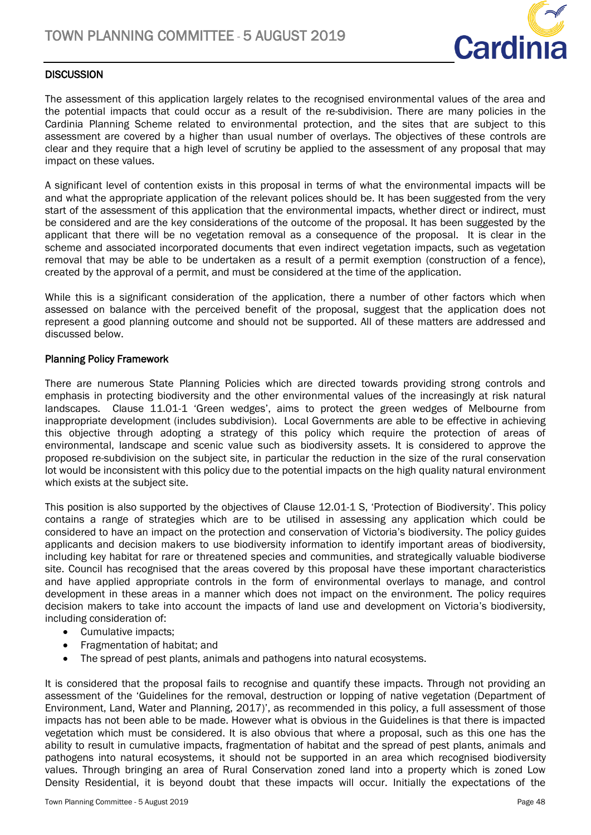

## **DISCUSSION**

The assessment of this application largely relates to the recognised environmental values of the area and the potential impacts that could occur as a result of the re-subdivision. There are many policies in the Cardinia Planning Scheme related to environmental protection, and the sites that are subject to this assessment are covered by a higher than usual number of overlays. The objectives of these controls are clear and they require that a high level of scrutiny be applied to the assessment of any proposal that may impact on these values.

A significant level of contention exists in this proposal in terms of what the environmental impacts will be and what the appropriate application of the relevant polices should be. It has been suggested from the very start of the assessment of this application that the environmental impacts, whether direct or indirect, must be considered and are the key considerations of the outcome of the proposal. It has been suggested by the applicant that there will be no vegetation removal as a consequence of the proposal. It is clear in the scheme and associated incorporated documents that even indirect vegetation impacts, such as vegetation removal that may be able to be undertaken as a result of a permit exemption (construction of a fence), created by the approval of a permit, and must be considered at the time of the application.

While this is a significant consideration of the application, there a number of other factors which when assessed on balance with the perceived benefit of the proposal, suggest that the application does not represent a good planning outcome and should not be supported. All of these matters are addressed and discussed below.

#### Planning Policy Framework

There are numerous State Planning Policies which are directed towards providing strong controls and emphasis in protecting biodiversity and the other environmental values of the increasingly at risk natural landscapes. Clause 11.01-1 'Green wedges', aims to protect the green wedges of Melbourne from inappropriate development (includes subdivision). Local Governments are able to be effective in achieving this objective through adopting a strategy of this policy which require the protection of areas of environmental, landscape and scenic value such as biodiversity assets. It is considered to approve the proposed re-subdivision on the subject site, in particular the reduction in the size of the rural conservation lot would be inconsistent with this policy due to the potential impacts on the high quality natural environment which exists at the subject site.

This position is also supported by the objectives of Clause 12.01-1 S, 'Protection of Biodiversity'. This policy contains a range of strategies which are to be utilised in assessing any application which could be considered to have an impact on the protection and conservation of Victoria's biodiversity. The policy guides applicants and decision makers to use biodiversity information to identify important areas of biodiversity, including key habitat for rare or threatened species and communities, and strategically valuable biodiverse site. Council has recognised that the areas covered by this proposal have these important characteristics and have applied appropriate controls in the form of environmental overlays to manage, and control development in these areas in a manner which does not impact on the environment. The policy requires decision makers to take into account the impacts of land use and development on Victoria's biodiversity, including consideration of:

- Cumulative impacts;
- Fragmentation of habitat; and
- The spread of pest plants, animals and pathogens into natural ecosystems.

It is considered that the proposal fails to recognise and quantify these impacts. Through not providing an assessment of the 'Guidelines for the removal, destruction or lopping of native vegetation (Department of Environment, Land, Water and Planning, 2017)', as recommended in this policy, a full assessment of those impacts has not been able to be made. However what is obvious in the Guidelines is that there is impacted vegetation which must be considered. It is also obvious that where a proposal, such as this one has the ability to result in cumulative impacts, fragmentation of habitat and the spread of pest plants, animals and pathogens into natural ecosystems, it should not be supported in an area which recognised biodiversity values. Through bringing an area of Rural Conservation zoned land into a property which is zoned Low Density Residential, it is beyond doubt that these impacts will occur. Initially the expectations of the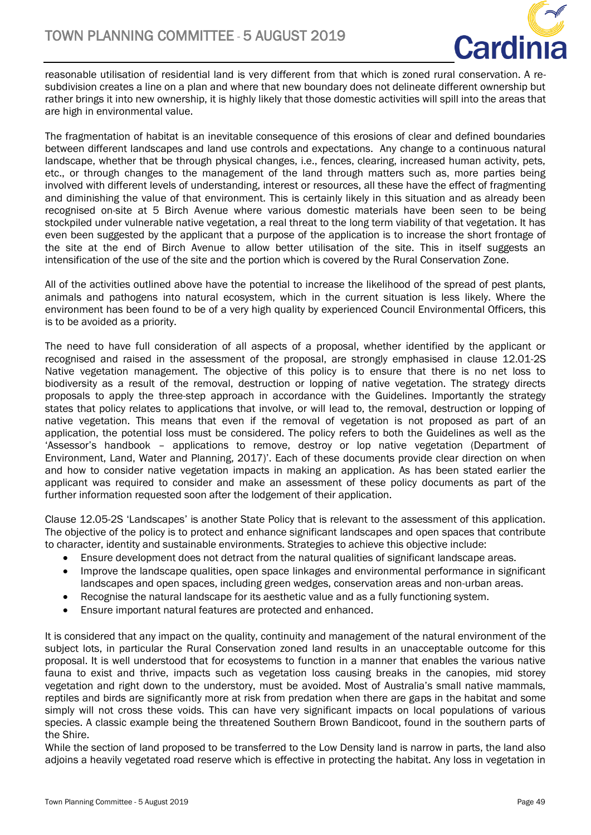

reasonable utilisation of residential land is very different from that which is zoned rural conservation. A resubdivision creates a line on a plan and where that new boundary does not delineate different ownership but rather brings it into new ownership, it is highly likely that those domestic activities will spill into the areas that are high in environmental value.

The fragmentation of habitat is an inevitable consequence of this erosions of clear and defined boundaries between different landscapes and land use controls and expectations. Any change to a continuous natural landscape, whether that be through physical changes, i.e., fences, clearing, increased human activity, pets, etc., or through changes to the management of the land through matters such as, more parties being involved with different levels of understanding, interest or resources, all these have the effect of fragmenting and diminishing the value of that environment. This is certainly likely in this situation and as already been recognised on-site at 5 Birch Avenue where various domestic materials have been seen to be being stockpiled under vulnerable native vegetation, a real threat to the long term viability of that vegetation. It has even been suggested by the applicant that a purpose of the application is to increase the short frontage of the site at the end of Birch Avenue to allow better utilisation of the site. This in itself suggests an intensification of the use of the site and the portion which is covered by the Rural Conservation Zone.

All of the activities outlined above have the potential to increase the likelihood of the spread of pest plants, animals and pathogens into natural ecosystem, which in the current situation is less likely. Where the environment has been found to be of a very high quality by experienced Council Environmental Officers, this is to be avoided as a priority.

The need to have full consideration of all aspects of a proposal, whether identified by the applicant or recognised and raised in the assessment of the proposal, are strongly emphasised in clause 12.01-2S Native vegetation management. The objective of this policy is to ensure that there is no net loss to biodiversity as a result of the removal, destruction or lopping of native vegetation. The strategy directs proposals to apply the three-step approach in accordance with the Guidelines. Importantly the strategy states that policy relates to applications that involve, or will lead to, the removal, destruction or lopping of native vegetation. This means that even if the removal of vegetation is not proposed as part of an application, the potential loss must be considered. The policy refers to both the Guidelines as well as the 'Assessor's handbook – applications to remove, destroy or lop native vegetation (Department of Environment, Land, Water and Planning, 2017)'. Each of these documents provide clear direction on when and how to consider native vegetation impacts in making an application. As has been stated earlier the applicant was required to consider and make an assessment of these policy documents as part of the further information requested soon after the lodgement of their application.

Clause 12.05-2S 'Landscapes' is another State Policy that is relevant to the assessment of this application. The objective of the policy is to protect and enhance significant landscapes and open spaces that contribute to character, identity and sustainable environments. Strategies to achieve this objective include:

- Ensure development does not detract from the natural qualities of significant landscape areas.
- Improve the landscape qualities, open space linkages and environmental performance in significant landscapes and open spaces, including green wedges, conservation areas and non-urban areas.
- Recognise the natural landscape for its aesthetic value and as a fully functioning system.
- Ensure important natural features are protected and enhanced.

It is considered that any impact on the quality, continuity and management of the natural environment of the subject lots, in particular the Rural Conservation zoned land results in an unacceptable outcome for this proposal. It is well understood that for ecosystems to function in a manner that enables the various native fauna to exist and thrive, impacts such as vegetation loss causing breaks in the canopies, mid storey vegetation and right down to the understory, must be avoided. Most of Australia's small native mammals, reptiles and birds are significantly more at risk from predation when there are gaps in the habitat and some simply will not cross these voids. This can have very significant impacts on local populations of various species. A classic example being the threatened Southern Brown Bandicoot, found in the southern parts of the Shire.

While the section of land proposed to be transferred to the Low Density land is narrow in parts, the land also adjoins a heavily vegetated road reserve which is effective in protecting the habitat. Any loss in vegetation in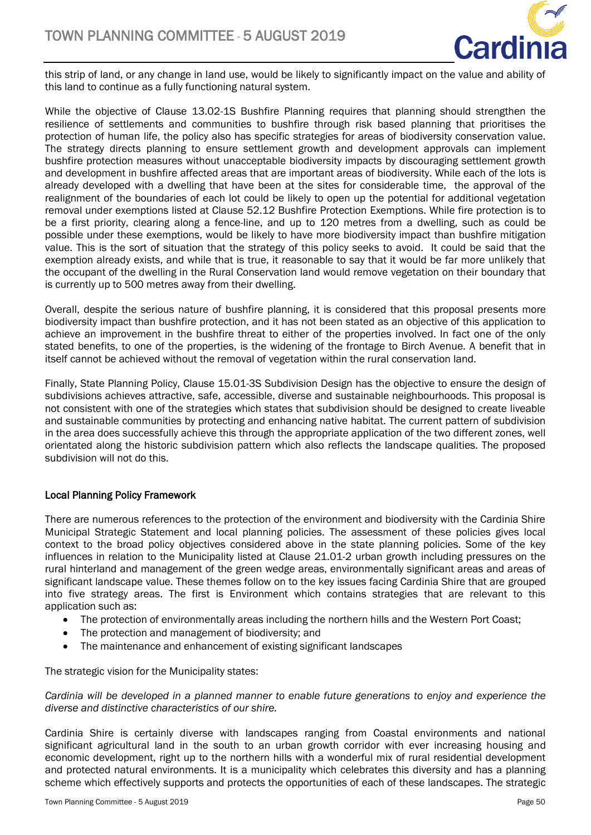

this strip of land, or any change in land use, would be likely to significantly impact on the value and ability of this land to continue as a fully functioning natural system.

While the objective of Clause 13.02-1S Bushfire Planning requires that planning should strengthen the resilience of settlements and communities to bushfire through risk based planning that prioritises the protection of human life, the policy also has specific strategies for areas of biodiversity conservation value. The strategy directs planning to ensure settlement growth and development approvals can implement bushfire protection measures without unacceptable biodiversity impacts by discouraging settlement growth and development in bushfire affected areas that are important areas of biodiversity. While each of the lots is already developed with a dwelling that have been at the sites for considerable time, the approval of the realignment of the boundaries of each lot could be likely to open up the potential for additional vegetation removal under exemptions listed at Clause 52.12 Bushfire Protection Exemptions. While fire protection is to be a first priority, clearing along a fence-line, and up to 120 metres from a dwelling, such as could be possible under these exemptions, would be likely to have more biodiversity impact than bushfire mitigation value. This is the sort of situation that the strategy of this policy seeks to avoid. It could be said that the exemption already exists, and while that is true, it reasonable to say that it would be far more unlikely that the occupant of the dwelling in the Rural Conservation land would remove vegetation on their boundary that is currently up to 500 metres away from their dwelling.

Overall, despite the serious nature of bushfire planning, it is considered that this proposal presents more biodiversity impact than bushfire protection, and it has not been stated as an objective of this application to achieve an improvement in the bushfire threat to either of the properties involved. In fact one of the only stated benefits, to one of the properties, is the widening of the frontage to Birch Avenue. A benefit that in itself cannot be achieved without the removal of vegetation within the rural conservation land.

Finally, State Planning Policy, Clause 15.01-3S Subdivision Design has the objective to ensure the design of subdivisions achieves attractive, safe, accessible, diverse and sustainable neighbourhoods. This proposal is not consistent with one of the strategies which states that subdivision should be designed to create liveable and sustainable communities by protecting and enhancing native habitat. The current pattern of subdivision in the area does successfully achieve this through the appropriate application of the two different zones, well orientated along the historic subdivision pattern which also reflects the landscape qualities. The proposed subdivision will not do this.

## Local Planning Policy Framework

There are numerous references to the protection of the environment and biodiversity with the Cardinia Shire Municipal Strategic Statement and local planning policies. The assessment of these policies gives local context to the broad policy objectives considered above in the state planning policies. Some of the key influences in relation to the Municipality listed at Clause 21.01-2 urban growth including pressures on the rural hinterland and management of the green wedge areas, environmentally significant areas and areas of significant landscape value. These themes follow on to the key issues facing Cardinia Shire that are grouped into five strategy areas. The first is Environment which contains strategies that are relevant to this application such as:

- The protection of environmentally areas including the northern hills and the Western Port Coast;
- The protection and management of biodiversity; and
- The maintenance and enhancement of existing significant landscapes

The strategic vision for the Municipality states:

*Cardinia will be developed in a planned manner to enable future generations to enjoy and experience the diverse and distinctive characteristics of our shire.* 

Cardinia Shire is certainly diverse with landscapes ranging from Coastal environments and national significant agricultural land in the south to an urban growth corridor with ever increasing housing and economic development, right up to the northern hills with a wonderful mix of rural residential development and protected natural environments. It is a municipality which celebrates this diversity and has a planning scheme which effectively supports and protects the opportunities of each of these landscapes. The strategic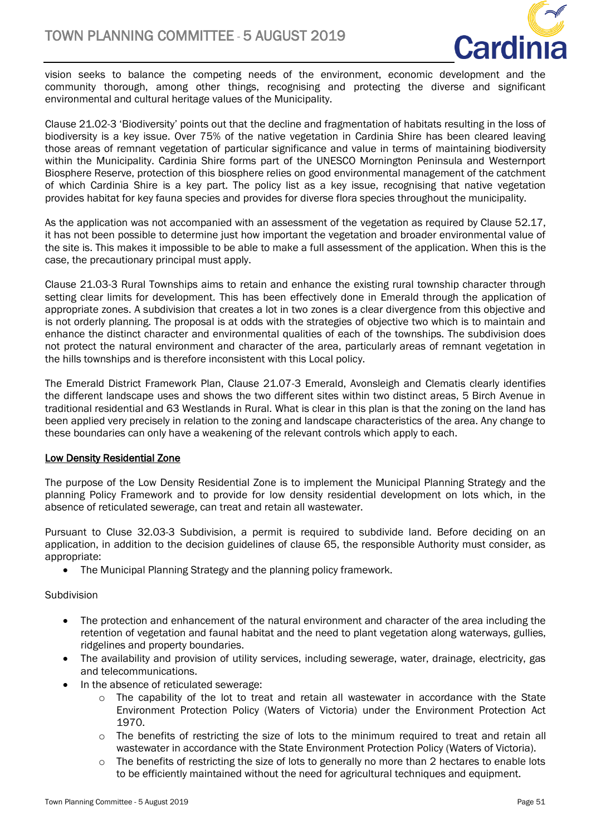

vision seeks to balance the competing needs of the environment, economic development and the community thorough, among other things, recognising and protecting the diverse and significant environmental and cultural heritage values of the Municipality.

Clause 21.02-3 'Biodiversity' points out that the decline and fragmentation of habitats resulting in the loss of biodiversity is a key issue. Over 75% of the native vegetation in Cardinia Shire has been cleared leaving those areas of remnant vegetation of particular significance and value in terms of maintaining biodiversity within the Municipality. Cardinia Shire forms part of the UNESCO Mornington Peninsula and Westernport Biosphere Reserve, protection of this biosphere relies on good environmental management of the catchment of which Cardinia Shire is a key part. The policy list as a key issue, recognising that native vegetation provides habitat for key fauna species and provides for diverse flora species throughout the municipality.

As the application was not accompanied with an assessment of the vegetation as required by Clause 52.17, it has not been possible to determine just how important the vegetation and broader environmental value of the site is. This makes it impossible to be able to make a full assessment of the application. When this is the case, the precautionary principal must apply.

Clause 21.03-3 Rural Townships aims to retain and enhance the existing rural township character through setting clear limits for development. This has been effectively done in Emerald through the application of appropriate zones. A subdivision that creates a lot in two zones is a clear divergence from this objective and is not orderly planning. The proposal is at odds with the strategies of objective two which is to maintain and enhance the distinct character and environmental qualities of each of the townships. The subdivision does not protect the natural environment and character of the area, particularly areas of remnant vegetation in the hills townships and is therefore inconsistent with this Local policy.

The Emerald District Framework Plan, Clause 21.07-3 Emerald, Avonsleigh and Clematis clearly identifies the different landscape uses and shows the two different sites within two distinct areas, 5 Birch Avenue in traditional residential and 63 Westlands in Rural. What is clear in this plan is that the zoning on the land has been applied very precisely in relation to the zoning and landscape characteristics of the area. Any change to these boundaries can only have a weakening of the relevant controls which apply to each.

## Low Density Residential Zone

The purpose of the Low Density Residential Zone is to implement the Municipal Planning Strategy and the planning Policy Framework and to provide for low density residential development on lots which, in the absence of reticulated sewerage, can treat and retain all wastewater.

Pursuant to Cluse 32.03-3 Subdivision, a permit is required to subdivide land. Before deciding on an application, in addition to the decision guidelines of clause 65, the responsible Authority must consider, as appropriate:

• The Municipal Planning Strategy and the planning policy framework.

#### Subdivision

- The protection and enhancement of the natural environment and character of the area including the retention of vegetation and faunal habitat and the need to plant vegetation along waterways, gullies, ridgelines and property boundaries.
- The availability and provision of utility services, including sewerage, water, drainage, electricity, gas and telecommunications.
- In the absence of reticulated sewerage:
	- o The capability of the lot to treat and retain all wastewater in accordance with the State Environment Protection Policy (Waters of Victoria) under the Environment Protection Act 1970.
	- $\circ$  The benefits of restricting the size of lots to the minimum required to treat and retain all wastewater in accordance with the State Environment Protection Policy (Waters of Victoria).
	- $\circ$  The benefits of restricting the size of lots to generally no more than 2 hectares to enable lots to be efficiently maintained without the need for agricultural techniques and equipment.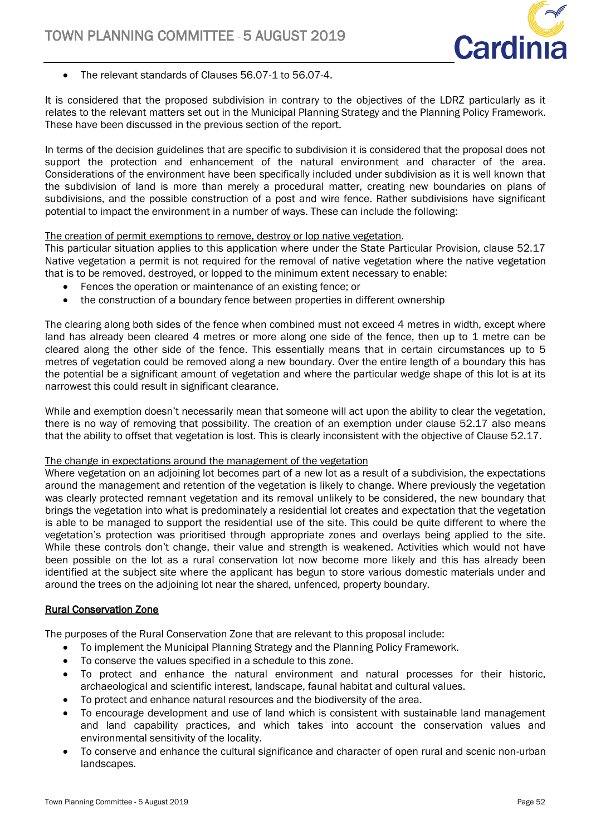

The relevant standards of Clauses 56.07-1 to 56.07-4.

It is considered that the proposed subdivision in contrary to the objectives of the LDRZ particularly as it relates to the relevant matters set out in the Municipal Planning Strategy and the Planning Policy Framework. These have been discussed in the previous section of the report.

In terms of the decision guidelines that are specific to subdivision it is considered that the proposal does not support the protection and enhancement of the natural environment and character of the area. Considerations of the environment have been specifically included under subdivision as it is well known that the subdivision of land is more than merely a procedural matter, creating new boundaries on plans of subdivisions, and the possible construction of a post and wire fence. Rather subdivisions have significant potential to impact the environment in a number of ways. These can include the following:

#### The creation of permit exemptions to remove, destroy or lop native vegetation.

This particular situation applies to this application where under the State Particular Provision, clause 52.17 Native vegetation a permit is not required for the removal of native vegetation where the native vegetation that is to be removed, destroyed, or lopped to the minimum extent necessary to enable:

- Fences the operation or maintenance of an existing fence; or
- the construction of a boundary fence between properties in different ownership

The clearing along both sides of the fence when combined must not exceed 4 metres in width, except where land has already been cleared 4 metres or more along one side of the fence, then up to 1 metre can be cleared along the other side of the fence. This essentially means that in certain circumstances up to 5 metres of vegetation could be removed along a new boundary. Over the entire length of a boundary this has the potential be a significant amount of vegetation and where the particular wedge shape of this lot is at its narrowest this could result in significant clearance.

While and exemption doesn't necessarily mean that someone will act upon the ability to clear the vegetation, there is no way of removing that possibility. The creation of an exemption under clause 52.17 also means that the ability to offset that vegetation is lost. This is clearly inconsistent with the objective of Clause 52.17.

#### The change in expectations around the management of the vegetation

Where vegetation on an adjoining lot becomes part of a new lot as a result of a subdivision, the expectations around the management and retention of the vegetation is likely to change. Where previously the vegetation was clearly protected remnant vegetation and its removal unlikely to be considered, the new boundary that brings the vegetation into what is predominately a residential lot creates and expectation that the vegetation is able to be managed to support the residential use of the site. This could be quite different to where the vegetation's protection was prioritised through appropriate zones and overlays being applied to the site. While these controls don't change, their value and strength is weakened. Activities which would not have been possible on the lot as a rural conservation lot now become more likely and this has already been identified at the subject site where the applicant has begun to store various domestic materials under and around the trees on the adjoining lot near the shared, unfenced, property boundary.

#### Rural Conservation Zone

The purposes of the Rural Conservation Zone that are relevant to this proposal include:

- To implement the Municipal Planning Strategy and the Planning Policy Framework.
- To conserve the values specified in a schedule to this zone.
- To protect and enhance the natural environment and natural processes for their historic, archaeological and scientific interest, landscape, faunal habitat and cultural values.
- To protect and enhance natural resources and the biodiversity of the area.
- To encourage development and use of land which is consistent with sustainable land management and land capability practices, and which takes into account the conservation values and environmental sensitivity of the locality.
- To conserve and enhance the cultural significance and character of open rural and scenic non-urban landscapes.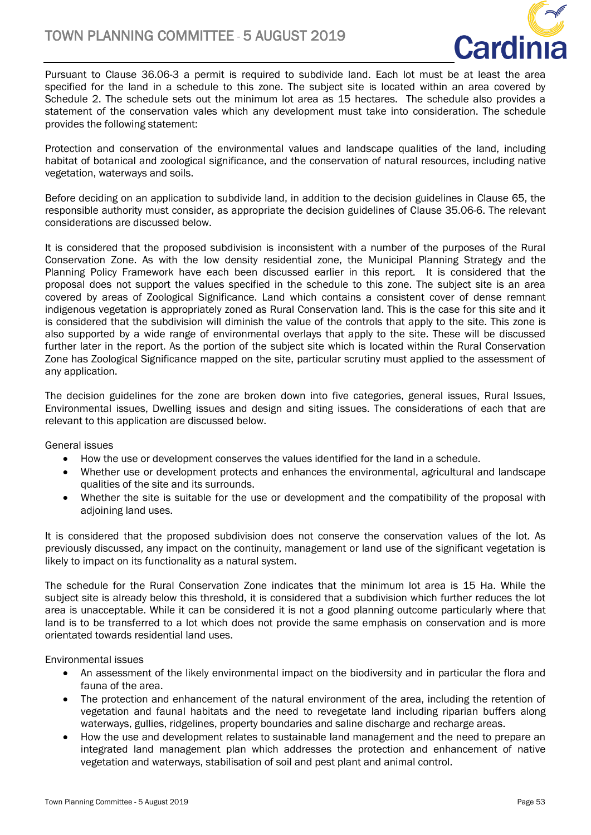

Pursuant to Clause 36.06-3 a permit is required to subdivide land. Each lot must be at least the area specified for the land in a schedule to this zone. The subject site is located within an area covered by Schedule 2. The schedule sets out the minimum lot area as 15 hectares. The schedule also provides a statement of the conservation vales which any development must take into consideration. The schedule provides the following statement:

Protection and conservation of the environmental values and landscape qualities of the land, including habitat of botanical and zoological significance, and the conservation of natural resources, including native vegetation, waterways and soils.

Before deciding on an application to subdivide land, in addition to the decision guidelines in Clause 65, the responsible authority must consider, as appropriate the decision guidelines of Clause 35.06-6. The relevant considerations are discussed below.

It is considered that the proposed subdivision is inconsistent with a number of the purposes of the Rural Conservation Zone. As with the low density residential zone, the Municipal Planning Strategy and the Planning Policy Framework have each been discussed earlier in this report. It is considered that the proposal does not support the values specified in the schedule to this zone. The subject site is an area covered by areas of Zoological Significance. Land which contains a consistent cover of dense remnant indigenous vegetation is appropriately zoned as Rural Conservation land. This is the case for this site and it is considered that the subdivision will diminish the value of the controls that apply to the site. This zone is also supported by a wide range of environmental overlays that apply to the site. These will be discussed further later in the report. As the portion of the subject site which is located within the Rural Conservation Zone has Zoological Significance mapped on the site, particular scrutiny must applied to the assessment of any application.

The decision guidelines for the zone are broken down into five categories, general issues, Rural Issues, Environmental issues, Dwelling issues and design and siting issues. The considerations of each that are relevant to this application are discussed below.

General issues

- How the use or development conserves the values identified for the land in a schedule.
- Whether use or development protects and enhances the environmental, agricultural and landscape qualities of the site and its surrounds.
- Whether the site is suitable for the use or development and the compatibility of the proposal with adjoining land uses.

It is considered that the proposed subdivision does not conserve the conservation values of the lot. As previously discussed, any impact on the continuity, management or land use of the significant vegetation is likely to impact on its functionality as a natural system.

The schedule for the Rural Conservation Zone indicates that the minimum lot area is 15 Ha. While the subject site is already below this threshold, it is considered that a subdivision which further reduces the lot area is unacceptable. While it can be considered it is not a good planning outcome particularly where that land is to be transferred to a lot which does not provide the same emphasis on conservation and is more orientated towards residential land uses.

Environmental issues

- An assessment of the likely environmental impact on the biodiversity and in particular the flora and fauna of the area.
- The protection and enhancement of the natural environment of the area, including the retention of vegetation and faunal habitats and the need to revegetate land including riparian buffers along waterways, gullies, ridgelines, property boundaries and saline discharge and recharge areas.
- How the use and development relates to sustainable land management and the need to prepare an integrated land management plan which addresses the protection and enhancement of native vegetation and waterways, stabilisation of soil and pest plant and animal control.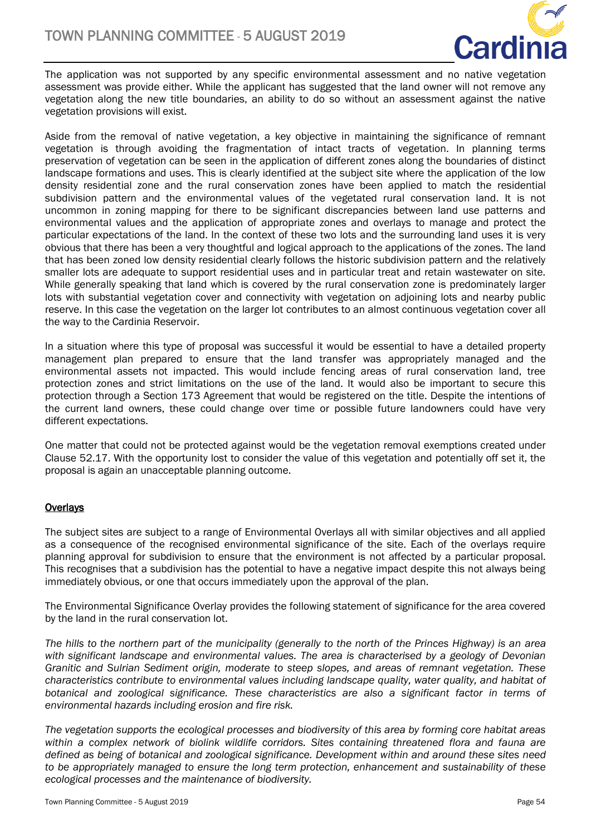

The application was not supported by any specific environmental assessment and no native vegetation assessment was provide either. While the applicant has suggested that the land owner will not remove any vegetation along the new title boundaries, an ability to do so without an assessment against the native vegetation provisions will exist.

Aside from the removal of native vegetation, a key objective in maintaining the significance of remnant vegetation is through avoiding the fragmentation of intact tracts of vegetation. In planning terms preservation of vegetation can be seen in the application of different zones along the boundaries of distinct landscape formations and uses. This is clearly identified at the subject site where the application of the low density residential zone and the rural conservation zones have been applied to match the residential subdivision pattern and the environmental values of the vegetated rural conservation land. It is not uncommon in zoning mapping for there to be significant discrepancies between land use patterns and environmental values and the application of appropriate zones and overlays to manage and protect the particular expectations of the land. In the context of these two lots and the surrounding land uses it is very obvious that there has been a very thoughtful and logical approach to the applications of the zones. The land that has been zoned low density residential clearly follows the historic subdivision pattern and the relatively smaller lots are adequate to support residential uses and in particular treat and retain wastewater on site. While generally speaking that land which is covered by the rural conservation zone is predominately larger lots with substantial vegetation cover and connectivity with vegetation on adjoining lots and nearby public reserve. In this case the vegetation on the larger lot contributes to an almost continuous vegetation cover all the way to the Cardinia Reservoir.

In a situation where this type of proposal was successful it would be essential to have a detailed property management plan prepared to ensure that the land transfer was appropriately managed and the environmental assets not impacted. This would include fencing areas of rural conservation land, tree protection zones and strict limitations on the use of the land. It would also be important to secure this protection through a Section 173 Agreement that would be registered on the title. Despite the intentions of the current land owners, these could change over time or possible future landowners could have very different expectations.

One matter that could not be protected against would be the vegetation removal exemptions created under Clause 52.17. With the opportunity lost to consider the value of this vegetation and potentially off set it, the proposal is again an unacceptable planning outcome.

## **Overlays**

The subject sites are subject to a range of Environmental Overlays all with similar objectives and all applied as a consequence of the recognised environmental significance of the site. Each of the overlays require planning approval for subdivision to ensure that the environment is not affected by a particular proposal. This recognises that a subdivision has the potential to have a negative impact despite this not always being immediately obvious, or one that occurs immediately upon the approval of the plan.

The Environmental Significance Overlay provides the following statement of significance for the area covered by the land in the rural conservation lot.

*The hills to the northern part of the municipality (generally to the north of the Princes Highway) is an area*  with significant landscape and environmental values. The area is characterised by a geology of Devonian *Granitic and Sulrian Sediment origin, moderate to steep slopes, and areas of remnant vegetation. These characteristics contribute to environmental values including landscape quality, water quality, and habitat of botanical and zoological significance. These characteristics are also a significant factor in terms of environmental hazards including erosion and fire risk.* 

*The vegetation supports the ecological processes and biodiversity of this area by forming core habitat areas within a complex network of biolink wildlife corridors. Sites containing threatened flora and fauna are defined as being of botanical and zoological significance. Development within and around these sites need to be appropriately managed to ensure the long term protection, enhancement and sustainability of these ecological processes and the maintenance of biodiversity.*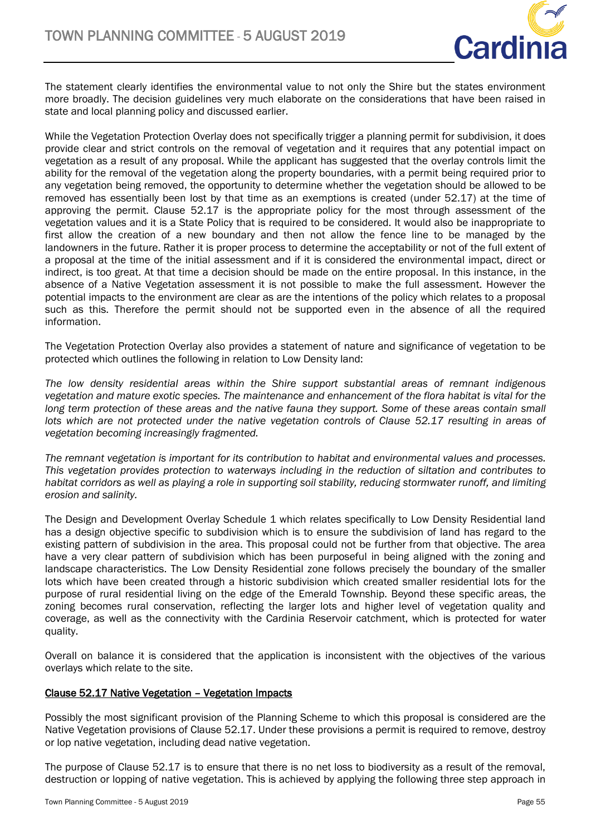

The statement clearly identifies the environmental value to not only the Shire but the states environment more broadly. The decision guidelines very much elaborate on the considerations that have been raised in state and local planning policy and discussed earlier.

While the Vegetation Protection Overlay does not specifically trigger a planning permit for subdivision, it does provide clear and strict controls on the removal of vegetation and it requires that any potential impact on vegetation as a result of any proposal. While the applicant has suggested that the overlay controls limit the ability for the removal of the vegetation along the property boundaries, with a permit being required prior to any vegetation being removed, the opportunity to determine whether the vegetation should be allowed to be removed has essentially been lost by that time as an exemptions is created (under 52.17) at the time of approving the permit. Clause 52.17 is the appropriate policy for the most through assessment of the vegetation values and it is a State Policy that is required to be considered. It would also be inappropriate to first allow the creation of a new boundary and then not allow the fence line to be managed by the landowners in the future. Rather it is proper process to determine the acceptability or not of the full extent of a proposal at the time of the initial assessment and if it is considered the environmental impact, direct or indirect, is too great. At that time a decision should be made on the entire proposal. In this instance, in the absence of a Native Vegetation assessment it is not possible to make the full assessment. However the potential impacts to the environment are clear as are the intentions of the policy which relates to a proposal such as this. Therefore the permit should not be supported even in the absence of all the required information.

The Vegetation Protection Overlay also provides a statement of nature and significance of vegetation to be protected which outlines the following in relation to Low Density land:

*The low density residential areas within the Shire support substantial areas of remnant indigenous vegetation and mature exotic species. The maintenance and enhancement of the flora habitat is vital for the*  long term protection of these areas and the native fauna they support. Some of these areas contain small *lots which are not protected under the native vegetation controls of Clause 52.17 resulting in areas of vegetation becoming increasingly fragmented.* 

*The remnant vegetation is important for its contribution to habitat and environmental values and processes. This vegetation provides protection to waterways including in the reduction of siltation and contributes to habitat corridors as well as playing a role in supporting soil stability, reducing stormwater runoff, and limiting erosion and salinity.*

The Design and Development Overlay Schedule 1 which relates specifically to Low Density Residential land has a design objective specific to subdivision which is to ensure the subdivision of land has regard to the existing pattern of subdivision in the area. This proposal could not be further from that objective. The area have a very clear pattern of subdivision which has been purposeful in being aligned with the zoning and landscape characteristics. The Low Density Residential zone follows precisely the boundary of the smaller lots which have been created through a historic subdivision which created smaller residential lots for the purpose of rural residential living on the edge of the Emerald Township. Beyond these specific areas, the zoning becomes rural conservation, reflecting the larger lots and higher level of vegetation quality and coverage, as well as the connectivity with the Cardinia Reservoir catchment, which is protected for water quality.

Overall on balance it is considered that the application is inconsistent with the objectives of the various overlays which relate to the site.

#### Clause 52.17 Native Vegetation – Vegetation Impacts

Possibly the most significant provision of the Planning Scheme to which this proposal is considered are the Native Vegetation provisions of Clause 52.17. Under these provisions a permit is required to remove, destroy or lop native vegetation, including dead native vegetation.

The purpose of Clause 52.17 is to ensure that there is no net loss to biodiversity as a result of the removal, destruction or lopping of native vegetation. This is achieved by applying the following three step approach in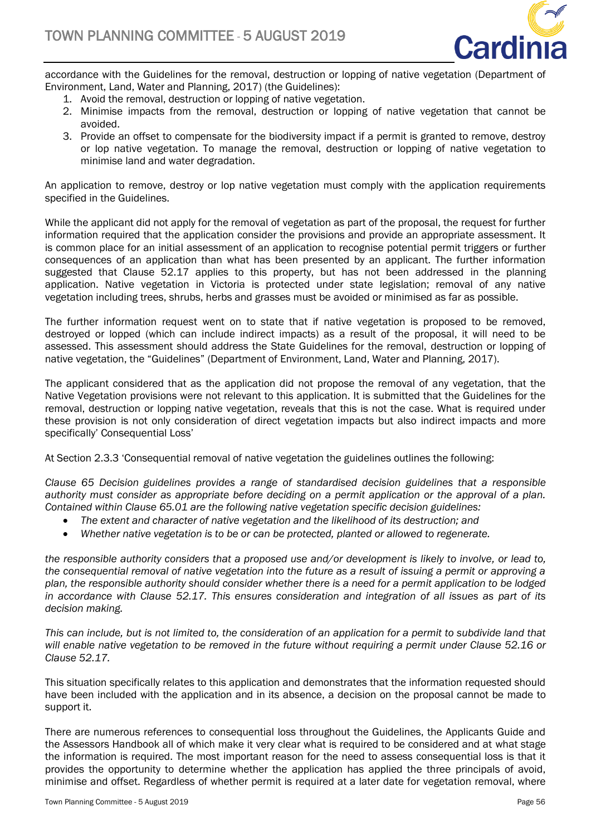

accordance with the Guidelines for the removal, destruction or lopping of native vegetation (Department of Environment, Land, Water and Planning, 2017) (the Guidelines):

- 1. Avoid the removal, destruction or lopping of native vegetation.
- 2. Minimise impacts from the removal, destruction or lopping of native vegetation that cannot be avoided.
- 3. Provide an offset to compensate for the biodiversity impact if a permit is granted to remove, destroy or lop native vegetation. To manage the removal, destruction or lopping of native vegetation to minimise land and water degradation.

An application to remove, destroy or lop native vegetation must comply with the application requirements specified in the Guidelines.

While the applicant did not apply for the removal of vegetation as part of the proposal, the request for further information required that the application consider the provisions and provide an appropriate assessment. It is common place for an initial assessment of an application to recognise potential permit triggers or further consequences of an application than what has been presented by an applicant. The further information suggested that Clause 52.17 applies to this property, but has not been addressed in the planning application. Native vegetation in Victoria is protected under state legislation; removal of any native vegetation including trees, shrubs, herbs and grasses must be avoided or minimised as far as possible.

The further information request went on to state that if native vegetation is proposed to be removed, destroyed or lopped (which can include indirect impacts) as a result of the proposal, it will need to be assessed. This assessment should address the State Guidelines for the removal, destruction or lopping of native vegetation, the "Guidelines" (Department of Environment, Land, Water and Planning, 2017).

The applicant considered that as the application did not propose the removal of any vegetation, that the Native Vegetation provisions were not relevant to this application. It is submitted that the Guidelines for the removal, destruction or lopping native vegetation, reveals that this is not the case. What is required under these provision is not only consideration of direct vegetation impacts but also indirect impacts and more specifically' Consequential Loss'

At Section 2.3.3 'Consequential removal of native vegetation the guidelines outlines the following:

*Clause 65 Decision guidelines provides a range of standardised decision guidelines that a responsible authority must consider as appropriate before deciding on a permit application or the approval of a plan. Contained within Clause 65.01 are the following native vegetation specific decision guidelines:*

- *The extent and character of native vegetation and the likelihood of its destruction; and*
- *Whether native vegetation is to be or can be protected, planted or allowed to regenerate.*

*the responsible authority considers that a proposed use and/or development is likely to involve, or lead to, the consequential removal of native vegetation into the future as a result of issuing a permit or approving a plan, the responsible authority should consider whether there is a need for a permit application to be lodged in accordance with Clause 52.17. This ensures consideration and integration of all issues as part of its decision making.* 

This can include, but is not limited to, the consideration of an application for a permit to subdivide land that *will enable native vegetation to be removed in the future without requiring a permit under Clause 52.16 or Clause 52.17.*

This situation specifically relates to this application and demonstrates that the information requested should have been included with the application and in its absence, a decision on the proposal cannot be made to support it.

There are numerous references to consequential loss throughout the Guidelines, the Applicants Guide and the Assessors Handbook all of which make it very clear what is required to be considered and at what stage the information is required. The most important reason for the need to assess consequential loss is that it provides the opportunity to determine whether the application has applied the three principals of avoid, minimise and offset. Regardless of whether permit is required at a later date for vegetation removal, where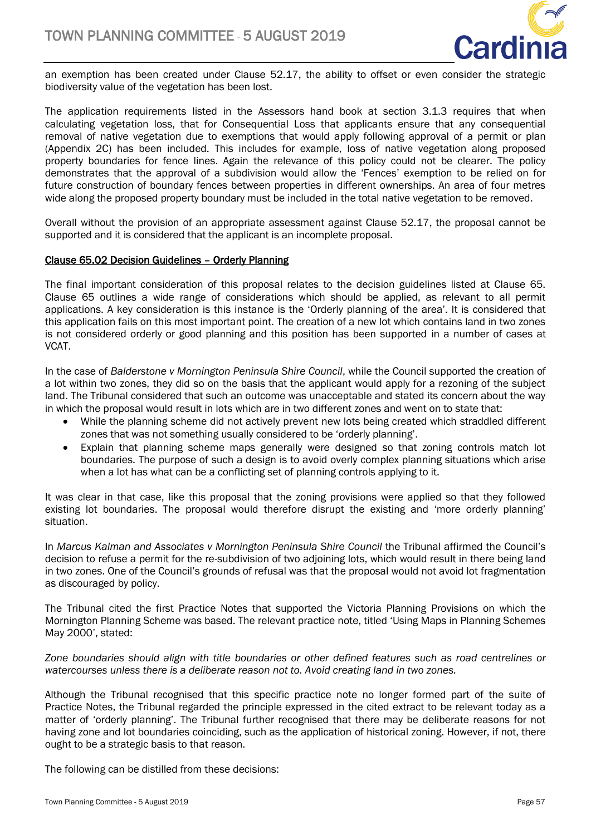

an exemption has been created under Clause 52.17, the ability to offset or even consider the strategic biodiversity value of the vegetation has been lost.

The application requirements listed in the Assessors hand book at section 3.1.3 requires that when calculating vegetation loss, that for Consequential Loss that applicants ensure that any consequential removal of native vegetation due to exemptions that would apply following approval of a permit or plan (Appendix 2C) has been included. This includes for example, loss of native vegetation along proposed property boundaries for fence lines. Again the relevance of this policy could not be clearer. The policy demonstrates that the approval of a subdivision would allow the 'Fences' exemption to be relied on for future construction of boundary fences between properties in different ownerships. An area of four metres wide along the proposed property boundary must be included in the total native vegetation to be removed.

Overall without the provision of an appropriate assessment against Clause 52.17, the proposal cannot be supported and it is considered that the applicant is an incomplete proposal.

## Clause 65.02 Decision Guidelines – Orderly Planning

The final important consideration of this proposal relates to the decision guidelines listed at Clause 65. Clause 65 outlines a wide range of considerations which should be applied, as relevant to all permit applications. A key consideration is this instance is the 'Orderly planning of the area'. It is considered that this application fails on this most important point. The creation of a new lot which contains land in two zones is not considered orderly or good planning and this position has been supported in a number of cases at VCAT.

In the case of *Balderstone v Mornington Peninsula Shire Council*, while the Council supported the creation of a lot within two zones, they did so on the basis that the applicant would apply for a rezoning of the subject land. The Tribunal considered that such an outcome was unacceptable and stated its concern about the way in which the proposal would result in lots which are in two different zones and went on to state that:

- While the planning scheme did not actively prevent new lots being created which straddled different zones that was not something usually considered to be 'orderly planning'.
- Explain that planning scheme maps generally were designed so that zoning controls match lot boundaries. The purpose of such a design is to avoid overly complex planning situations which arise when a lot has what can be a conflicting set of planning controls applying to it.

It was clear in that case, like this proposal that the zoning provisions were applied so that they followed existing lot boundaries. The proposal would therefore disrupt the existing and 'more orderly planning' situation.

In *Marcus Kalman and Associates v Mornington Peninsula Shire Council* the Tribunal affirmed the Council's decision to refuse a permit for the re-subdivision of two adjoining lots, which would result in there being land in two zones. One of the Council's grounds of refusal was that the proposal would not avoid lot fragmentation as discouraged by policy.

The Tribunal cited the first Practice Notes that supported the Victoria Planning Provisions on which the Mornington Planning Scheme was based. The relevant practice note, titled 'Using Maps in Planning Schemes May 2000', stated:

*Zone boundaries should align with title boundaries or other defined features such as road centrelines or watercourses unless there is a deliberate reason not to. Avoid creating land in two zones.*

Although the Tribunal recognised that this specific practice note no longer formed part of the suite of Practice Notes, the Tribunal regarded the principle expressed in the cited extract to be relevant today as a matter of 'orderly planning'. The Tribunal further recognised that there may be deliberate reasons for not having zone and lot boundaries coinciding, such as the application of historical zoning. However, if not, there ought to be a strategic basis to that reason.

The following can be distilled from these decisions: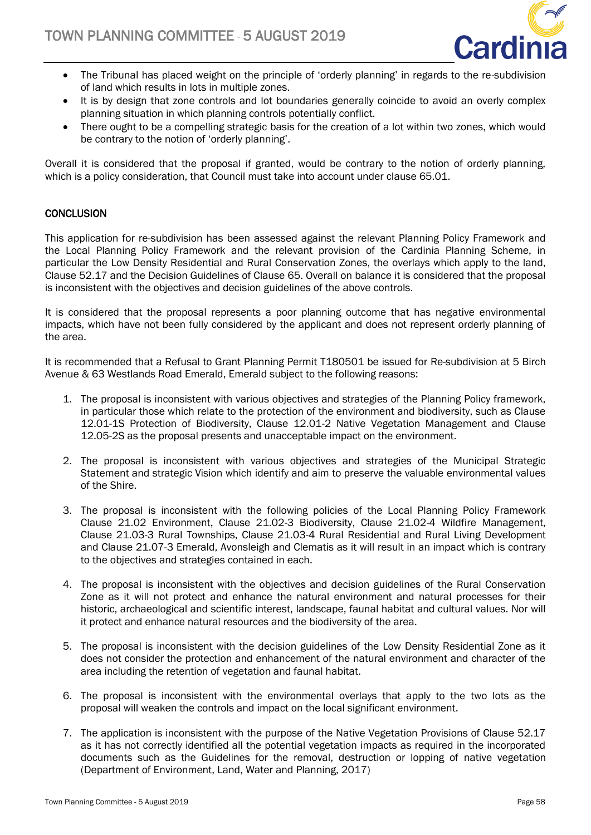

- The Tribunal has placed weight on the principle of 'orderly planning' in regards to the re-subdivision of land which results in lots in multiple zones.
- It is by design that zone controls and lot boundaries generally coincide to avoid an overly complex planning situation in which planning controls potentially conflict.
- There ought to be a compelling strategic basis for the creation of a lot within two zones, which would be contrary to the notion of 'orderly planning'.

Overall it is considered that the proposal if granted, would be contrary to the notion of orderly planning, which is a policy consideration, that Council must take into account under clause 65.01.

## **CONCLUSION**

This application for re-subdivision has been assessed against the relevant Planning Policy Framework and the Local Planning Policy Framework and the relevant provision of the Cardinia Planning Scheme, in particular the Low Density Residential and Rural Conservation Zones, the overlays which apply to the land, Clause 52.17 and the Decision Guidelines of Clause 65. Overall on balance it is considered that the proposal is inconsistent with the objectives and decision guidelines of the above controls.

It is considered that the proposal represents a poor planning outcome that has negative environmental impacts, which have not been fully considered by the applicant and does not represent orderly planning of the area.

It is recommended that a Refusal to Grant Planning Permit T180501 be issued for Re-subdivision at 5 Birch Avenue & 63 Westlands Road Emerald, Emerald subject to the following reasons:

- 1. The proposal is inconsistent with various objectives and strategies of the Planning Policy framework, in particular those which relate to the protection of the environment and biodiversity, such as Clause 12.01-1S Protection of Biodiversity, Clause 12.01-2 Native Vegetation Management and Clause 12.05-2S as the proposal presents and unacceptable impact on the environment.
- 2. The proposal is inconsistent with various objectives and strategies of the Municipal Strategic Statement and strategic Vision which identify and aim to preserve the valuable environmental values of the Shire.
- 3. The proposal is inconsistent with the following policies of the Local Planning Policy Framework Clause 21.02 Environment, Clause 21.02-3 Biodiversity, Clause 21.02-4 Wildfire Management, Clause 21.03-3 Rural Townships, Clause 21.03-4 Rural Residential and Rural Living Development and Clause 21.07-3 Emerald, Avonsleigh and Clematis as it will result in an impact which is contrary to the objectives and strategies contained in each.
- 4. The proposal is inconsistent with the objectives and decision guidelines of the Rural Conservation Zone as it will not protect and enhance the natural environment and natural processes for their historic, archaeological and scientific interest, landscape, faunal habitat and cultural values. Nor will it protect and enhance natural resources and the biodiversity of the area.
- 5. The proposal is inconsistent with the decision guidelines of the Low Density Residential Zone as it does not consider the protection and enhancement of the natural environment and character of the area including the retention of vegetation and faunal habitat.
- 6. The proposal is inconsistent with the environmental overlays that apply to the two lots as the proposal will weaken the controls and impact on the local significant environment.
- 7. The application is inconsistent with the purpose of the Native Vegetation Provisions of Clause 52.17 as it has not correctly identified all the potential vegetation impacts as required in the incorporated documents such as the Guidelines for the removal, destruction or lopping of native vegetation (Department of Environment, Land, Water and Planning, 2017)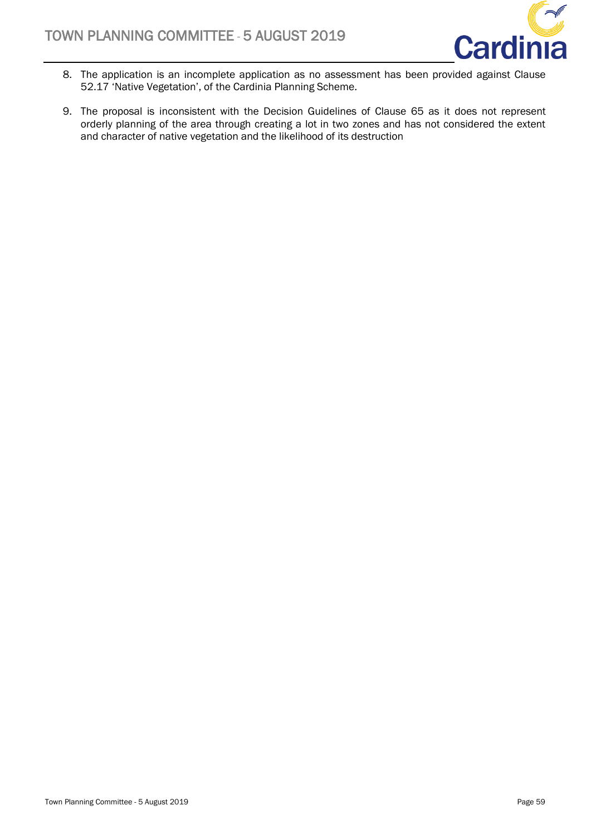

- 8. The application is an incomplete application as no assessment has been provided against Clause 52.17 'Native Vegetation', of the Cardinia Planning Scheme.
- 9. The proposal is inconsistent with the Decision Guidelines of Clause 65 as it does not represent orderly planning of the area through creating a lot in two zones and has not considered the extent and character of native vegetation and the likelihood of its destruction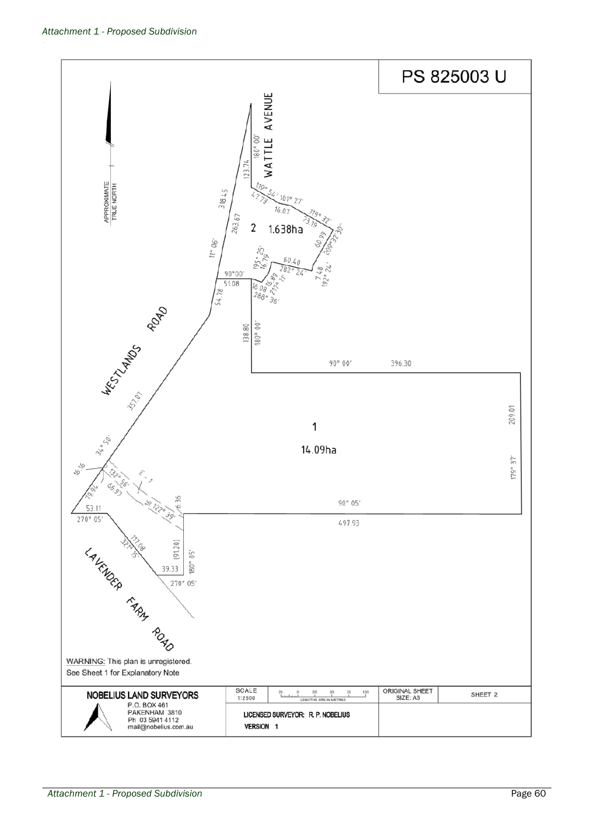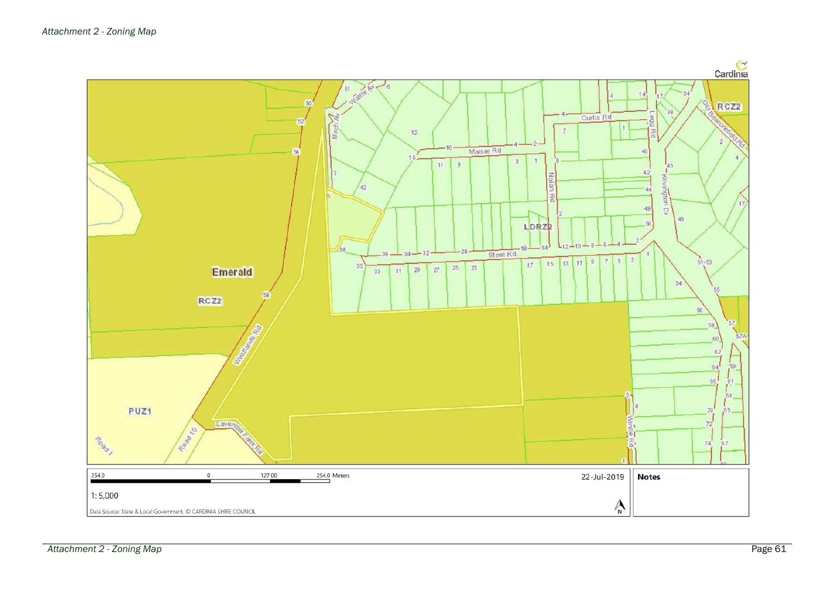